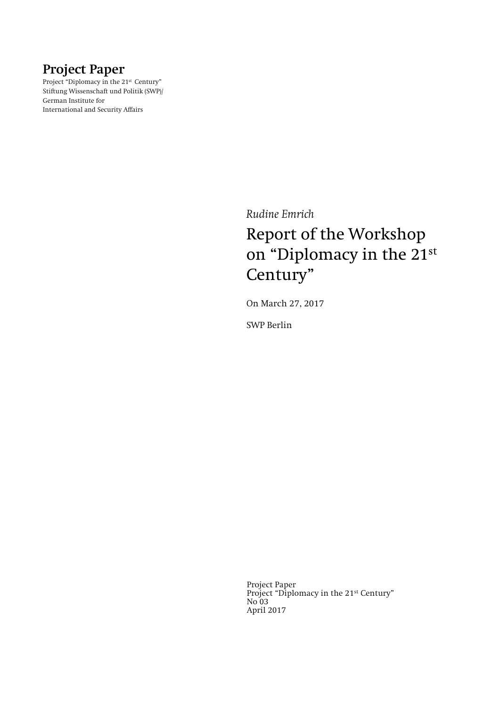## **Project Paper**

Project "Diplomacy in the 21<sup>st</sup> Century" Stiftung Wissenschaft und Politik (SWP)/ German Institute for International and Security Affairs

*Rudine Emrich* 

# Report of the Workshop on "Diplomacy in the 21st Century"

On March 27, 2017

SWP Berlin

Project Paper Project "Diplomacy in the 21st Century" No 03 April 2017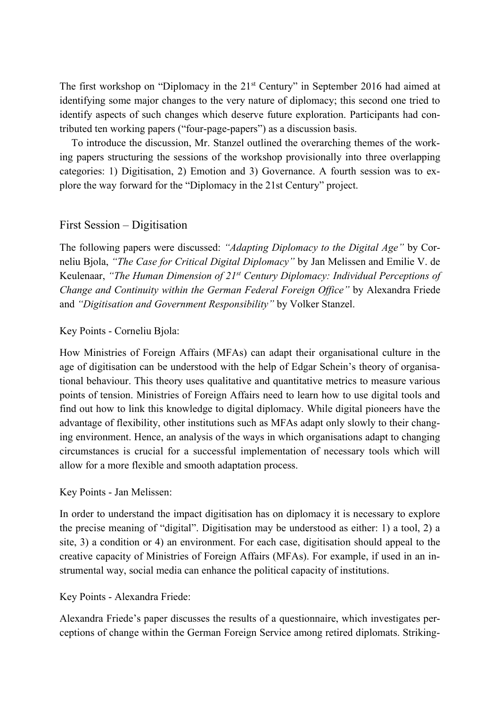The first workshop on "Diplomacy in the 21<sup>st</sup> Century" in September 2016 had aimed at identifying some major changes to the very nature of diplomacy; this second one tried to identify aspects of such changes which deserve future exploration. Participants had contributed ten working papers ("four-page-papers") as a discussion basis.

To introduce the discussion, Mr. Stanzel outlined the overarching themes of the working papers structuring the sessions of the workshop provisionally into three overlapping categories: 1) Digitisation, 2) Emotion and 3) Governance. A fourth session was to explore the way forward for the "Diplomacy in the 21st Century" project.

## First Session – Digitisation

The following papers were discussed: *"Adapting Diplomacy to the Digital Age"* by Corneliu Bjola, *"The Case for Critical Digital Diplomacy"* by Jan Melissen and Emilie V. de Keulenaar, *"The Human Dimension of 21st Century Diplomacy: Individual Perceptions of Change and Continuity within the German Federal Foreign Office"* by Alexandra Friede and *"Digitisation and Government Responsibility"* by Volker Stanzel.

## Key Points - Corneliu Bjola:

How Ministries of Foreign Affairs (MFAs) can adapt their organisational culture in the age of digitisation can be understood with the help of Edgar Schein's theory of organisational behaviour. This theory uses qualitative and quantitative metrics to measure various points of tension. Ministries of Foreign Affairs need to learn how to use digital tools and find out how to link this knowledge to digital diplomacy. While digital pioneers have the advantage of flexibility, other institutions such as MFAs adapt only slowly to their changing environment. Hence, an analysis of the ways in which organisations adapt to changing circumstances is crucial for a successful implementation of necessary tools which will allow for a more flexible and smooth adaptation process.

## Key Points - Jan Melissen:

In order to understand the impact digitisation has on diplomacy it is necessary to explore the precise meaning of "digital". Digitisation may be understood as either: 1) a tool, 2) a site, 3) a condition or 4) an environment. For each case, digitisation should appeal to the creative capacity of Ministries of Foreign Affairs (MFAs). For example, if used in an instrumental way, social media can enhance the political capacity of institutions.

## Key Points - Alexandra Friede:

Alexandra Friede's paper discusses the results of a questionnaire, which investigates perceptions of change within the German Foreign Service among retired diplomats. Striking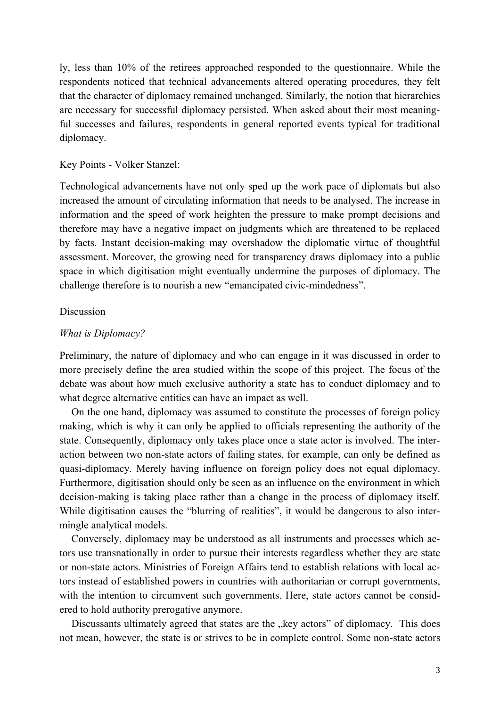ly, less than 10% of the retirees approached responded to the questionnaire. While the respondents noticed that technical advancements altered operating procedures, they felt that the character of diplomacy remained unchanged. Similarly, the notion that hierarchies are necessary for successful diplomacy persisted. When asked about their most meaningful successes and failures, respondents in general reported events typical for traditional diplomacy.

#### Key Points - Volker Stanzel:

Technological advancements have not only sped up the work pace of diplomats but also increased the amount of circulating information that needs to be analysed. The increase in information and the speed of work heighten the pressure to make prompt decisions and therefore may have a negative impact on judgments which are threatened to be replaced by facts. Instant decision-making may overshadow the diplomatic virtue of thoughtful assessment. Moreover, the growing need for transparency draws diplomacy into a public space in which digitisation might eventually undermine the purposes of diplomacy. The challenge therefore is to nourish a new "emancipated civic-mindedness".

#### Discussion

#### *What is Diplomacy?*

Preliminary, the nature of diplomacy and who can engage in it was discussed in order to more precisely define the area studied within the scope of this project. The focus of the debate was about how much exclusive authority a state has to conduct diplomacy and to what degree alternative entities can have an impact as well.

On the one hand, diplomacy was assumed to constitute the processes of foreign policy making, which is why it can only be applied to officials representing the authority of the state. Consequently, diplomacy only takes place once a state actor is involved. The interaction between two non-state actors of failing states, for example, can only be defined as quasi-diplomacy. Merely having influence on foreign policy does not equal diplomacy. Furthermore, digitisation should only be seen as an influence on the environment in which decision-making is taking place rather than a change in the process of diplomacy itself. While digitisation causes the "blurring of realities", it would be dangerous to also intermingle analytical models.

Conversely, diplomacy may be understood as all instruments and processes which actors use transnationally in order to pursue their interests regardless whether they are state or non-state actors. Ministries of Foreign Affairs tend to establish relations with local actors instead of established powers in countries with authoritarian or corrupt governments, with the intention to circumvent such governments. Here, state actors cannot be considered to hold authority prerogative anymore.

Discussants ultimately agreed that states are the "key actors" of diplomacy. This does not mean, however, the state is or strives to be in complete control. Some non-state actors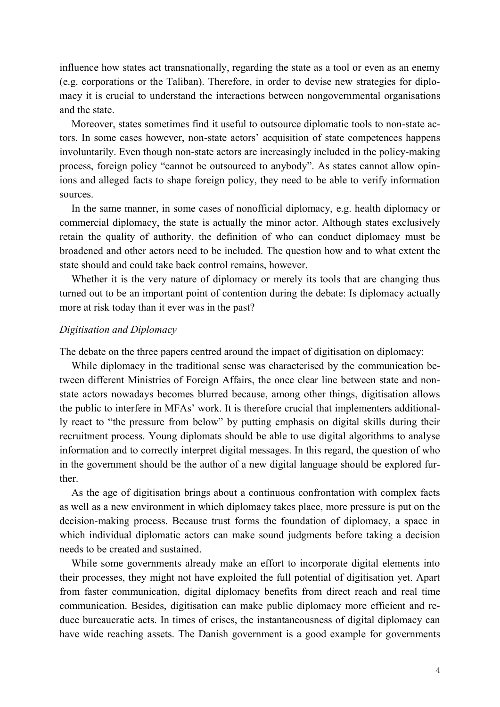influence how states act transnationally, regarding the state as a tool or even as an enemy (e.g. corporations or the Taliban). Therefore, in order to devise new strategies for diplomacy it is crucial to understand the interactions between nongovernmental organisations and the state.

Moreover, states sometimes find it useful to outsource diplomatic tools to non-state actors. In some cases however, non-state actors' acquisition of state competences happens involuntarily. Even though non-state actors are increasingly included in the policy-making process, foreign policy "cannot be outsourced to anybody". As states cannot allow opinions and alleged facts to shape foreign policy, they need to be able to verify information sources.

In the same manner, in some cases of nonofficial diplomacy, e.g. health diplomacy or commercial diplomacy, the state is actually the minor actor. Although states exclusively retain the quality of authority, the definition of who can conduct diplomacy must be broadened and other actors need to be included. The question how and to what extent the state should and could take back control remains, however.

Whether it is the very nature of diplomacy or merely its tools that are changing thus turned out to be an important point of contention during the debate: Is diplomacy actually more at risk today than it ever was in the past?

#### *Digitisation and Diplomacy*

The debate on the three papers centred around the impact of digitisation on diplomacy:

While diplomacy in the traditional sense was characterised by the communication between different Ministries of Foreign Affairs, the once clear line between state and nonstate actors nowadays becomes blurred because, among other things, digitisation allows the public to interfere in MFAs' work. It is therefore crucial that implementers additionally react to "the pressure from below" by putting emphasis on digital skills during their recruitment process. Young diplomats should be able to use digital algorithms to analyse information and to correctly interpret digital messages. In this regard, the question of who in the government should be the author of a new digital language should be explored further.

As the age of digitisation brings about a continuous confrontation with complex facts as well as a new environment in which diplomacy takes place, more pressure is put on the decision-making process. Because trust forms the foundation of diplomacy, a space in which individual diplomatic actors can make sound judgments before taking a decision needs to be created and sustained.

While some governments already make an effort to incorporate digital elements into their processes, they might not have exploited the full potential of digitisation yet. Apart from faster communication, digital diplomacy benefits from direct reach and real time communication. Besides, digitisation can make public diplomacy more efficient and reduce bureaucratic acts. In times of crises, the instantaneousness of digital diplomacy can have wide reaching assets. The Danish government is a good example for governments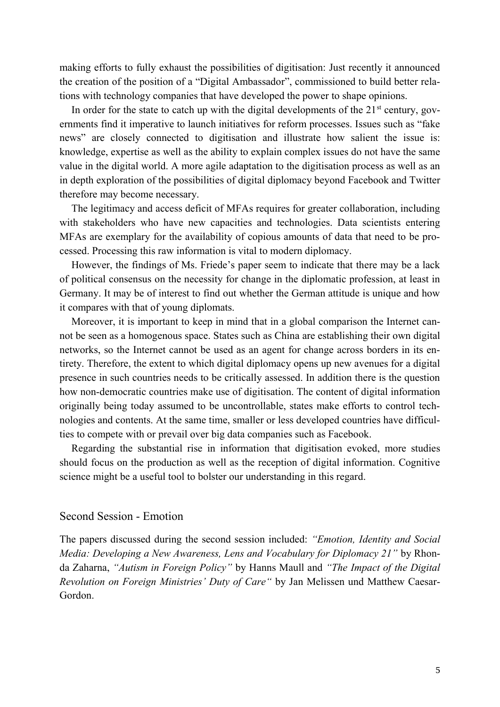making efforts to fully exhaust the possibilities of digitisation: Just recently it announced the creation of the position of a "Digital Ambassador", commissioned to build better relations with technology companies that have developed the power to shape opinions.

In order for the state to catch up with the digital developments of the  $21<sup>st</sup>$  century, governments find it imperative to launch initiatives for reform processes. Issues such as "fake news" are closely connected to digitisation and illustrate how salient the issue is: knowledge, expertise as well as the ability to explain complex issues do not have the same value in the digital world. A more agile adaptation to the digitisation process as well as an in depth exploration of the possibilities of digital diplomacy beyond Facebook and Twitter therefore may become necessary.

The legitimacy and access deficit of MFAs requires for greater collaboration, including with stakeholders who have new capacities and technologies. Data scientists entering MFAs are exemplary for the availability of copious amounts of data that need to be processed. Processing this raw information is vital to modern diplomacy.

However, the findings of Ms. Friede's paper seem to indicate that there may be a lack of political consensus on the necessity for change in the diplomatic profession, at least in Germany. It may be of interest to find out whether the German attitude is unique and how it compares with that of young diplomats.

Moreover, it is important to keep in mind that in a global comparison the Internet cannot be seen as a homogenous space. States such as China are establishing their own digital networks, so the Internet cannot be used as an agent for change across borders in its entirety. Therefore, the extent to which digital diplomacy opens up new avenues for a digital presence in such countries needs to be critically assessed. In addition there is the question how non-democratic countries make use of digitisation. The content of digital information originally being today assumed to be uncontrollable, states make efforts to control technologies and contents. At the same time, smaller or less developed countries have difficulties to compete with or prevail over big data companies such as Facebook.

Regarding the substantial rise in information that digitisation evoked, more studies should focus on the production as well as the reception of digital information. Cognitive science might be a useful tool to bolster our understanding in this regard.

#### Second Session - Emotion

The papers discussed during the second session included: *"Emotion, Identity and Social Media: Developing a New Awareness, Lens and Vocabulary for Diplomacy 21"* by Rhonda Zaharna, *"Autism in Foreign Policy"* by Hanns Maull and *"The Impact of the Digital Revolution on Foreign Ministries' Duty of Care"* by Jan Melissen und Matthew Caesar-Gordon.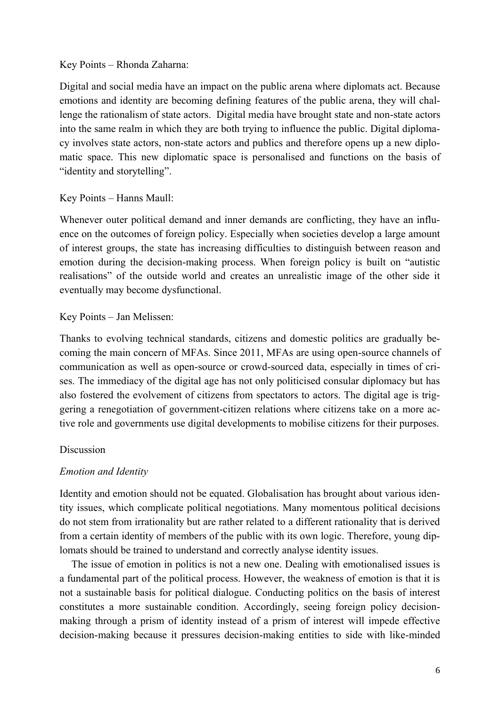## Key Points – Rhonda Zaharna:

Digital and social media have an impact on the public arena where diplomats act. Because emotions and identity are becoming defining features of the public arena, they will challenge the rationalism of state actors. Digital media have brought state and non-state actors into the same realm in which they are both trying to influence the public. Digital diplomacy involves state actors, non-state actors and publics and therefore opens up a new diplomatic space. This new diplomatic space is personalised and functions on the basis of "identity and storytelling".

## Key Points – Hanns Maull:

Whenever outer political demand and inner demands are conflicting, they have an influence on the outcomes of foreign policy. Especially when societies develop a large amount of interest groups, the state has increasing difficulties to distinguish between reason and emotion during the decision-making process. When foreign policy is built on "autistic realisations" of the outside world and creates an unrealistic image of the other side it eventually may become dysfunctional.

## Key Points – Jan Melissen:

Thanks to evolving technical standards, citizens and domestic politics are gradually becoming the main concern of MFAs. Since 2011, MFAs are using open-source channels of communication as well as open-source or crowd-sourced data, especially in times of crises. The immediacy of the digital age has not only politicised consular diplomacy but has also fostered the evolvement of citizens from spectators to actors. The digital age is triggering a renegotiation of government-citizen relations where citizens take on a more active role and governments use digital developments to mobilise citizens for their purposes.

#### Discussion

## *Emotion and Identity*

Identity and emotion should not be equated. Globalisation has brought about various identity issues, which complicate political negotiations. Many momentous political decisions do not stem from irrationality but are rather related to a different rationality that is derived from a certain identity of members of the public with its own logic. Therefore, young diplomats should be trained to understand and correctly analyse identity issues.

The issue of emotion in politics is not a new one. Dealing with emotionalised issues is a fundamental part of the political process. However, the weakness of emotion is that it is not a sustainable basis for political dialogue. Conducting politics on the basis of interest constitutes a more sustainable condition. Accordingly, seeing foreign policy decisionmaking through a prism of identity instead of a prism of interest will impede effective decision-making because it pressures decision-making entities to side with like-minded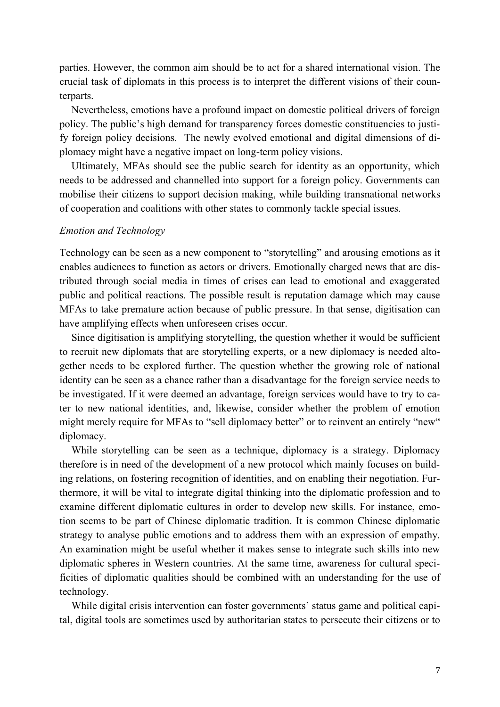parties. However, the common aim should be to act for a shared international vision. The crucial task of diplomats in this process is to interpret the different visions of their counterparts.

Nevertheless, emotions have a profound impact on domestic political drivers of foreign policy. The public's high demand for transparency forces domestic constituencies to justify foreign policy decisions. The newly evolved emotional and digital dimensions of diplomacy might have a negative impact on long-term policy visions.

Ultimately, MFAs should see the public search for identity as an opportunity, which needs to be addressed and channelled into support for a foreign policy. Governments can mobilise their citizens to support decision making, while building transnational networks of cooperation and coalitions with other states to commonly tackle special issues.

#### *Emotion and Technology*

Technology can be seen as a new component to "storytelling" and arousing emotions as it enables audiences to function as actors or drivers. Emotionally charged news that are distributed through social media in times of crises can lead to emotional and exaggerated public and political reactions. The possible result is reputation damage which may cause MFAs to take premature action because of public pressure. In that sense, digitisation can have amplifying effects when unforeseen crises occur.

Since digitisation is amplifying storytelling, the question whether it would be sufficient to recruit new diplomats that are storytelling experts, or a new diplomacy is needed altogether needs to be explored further. The question whether the growing role of national identity can be seen as a chance rather than a disadvantage for the foreign service needs to be investigated. If it were deemed an advantage, foreign services would have to try to cater to new national identities, and, likewise, consider whether the problem of emotion might merely require for MFAs to "sell diplomacy better" or to reinvent an entirely "new" diplomacy.

While storytelling can be seen as a technique, diplomacy is a strategy. Diplomacy therefore is in need of the development of a new protocol which mainly focuses on building relations, on fostering recognition of identities, and on enabling their negotiation. Furthermore, it will be vital to integrate digital thinking into the diplomatic profession and to examine different diplomatic cultures in order to develop new skills. For instance, emotion seems to be part of Chinese diplomatic tradition. It is common Chinese diplomatic strategy to analyse public emotions and to address them with an expression of empathy. An examination might be useful whether it makes sense to integrate such skills into new diplomatic spheres in Western countries. At the same time, awareness for cultural specificities of diplomatic qualities should be combined with an understanding for the use of technology.

While digital crisis intervention can foster governments' status game and political capital, digital tools are sometimes used by authoritarian states to persecute their citizens or to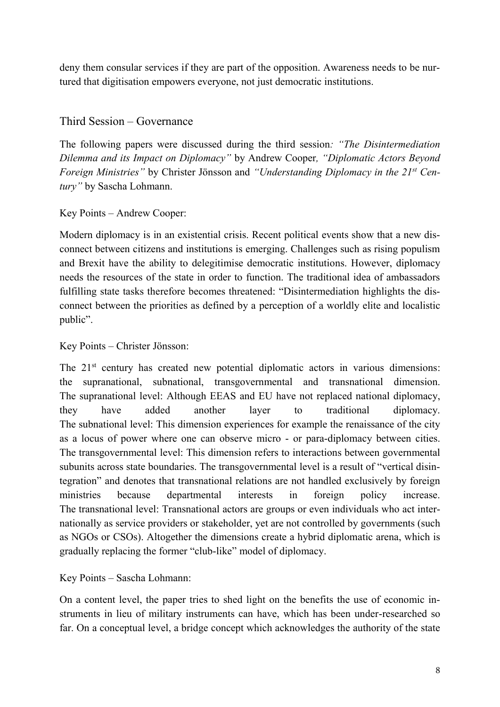deny them consular services if they are part of the opposition. Awareness needs to be nurtured that digitisation empowers everyone, not just democratic institutions.

## Third Session – Governance

The following papers were discussed during the third session*: "The Disintermediation Dilemma and its Impact on Diplomacy"* by Andrew Cooper*, "Diplomatic Actors Beyond Foreign Ministries"* by Christer Jönsson and *"Understanding Diplomacy in the 21st Century"* by Sascha Lohmann.

## Key Points – Andrew Cooper:

Modern diplomacy is in an existential crisis. Recent political events show that a new disconnect between citizens and institutions is emerging. Challenges such as rising populism and Brexit have the ability to delegitimise democratic institutions. However, diplomacy needs the resources of the state in order to function. The traditional idea of ambassadors fulfilling state tasks therefore becomes threatened: "Disintermediation highlights the disconnect between the priorities as defined by a perception of a worldly elite and localistic public".

Key Points – Christer Jönsson:

The 21<sup>st</sup> century has created new potential diplomatic actors in various dimensions: the supranational, subnational, transgovernmental and transnational dimension. The supranational level: Although EEAS and EU have not replaced national diplomacy, they have added another layer to traditional diplomacy. The subnational level: This dimension experiences for example the renaissance of the city as a locus of power where one can observe micro - or para-diplomacy between cities. The transgovernmental level: This dimension refers to interactions between governmental subunits across state boundaries. The transgovernmental level is a result of "vertical disintegration" and denotes that transnational relations are not handled exclusively by foreign ministries because departmental interests in foreign policy increase. The transnational level: Transnational actors are groups or even individuals who act internationally as service providers or stakeholder, yet are not controlled by governments (such as NGOs or CSOs). Altogether the dimensions create a hybrid diplomatic arena, which is gradually replacing the former "club-like" model of diplomacy.

Key Points – Sascha Lohmann:

On a content level, the paper tries to shed light on the benefits the use of economic instruments in lieu of military instruments can have, which has been under-researched so far. On a conceptual level, a bridge concept which acknowledges the authority of the state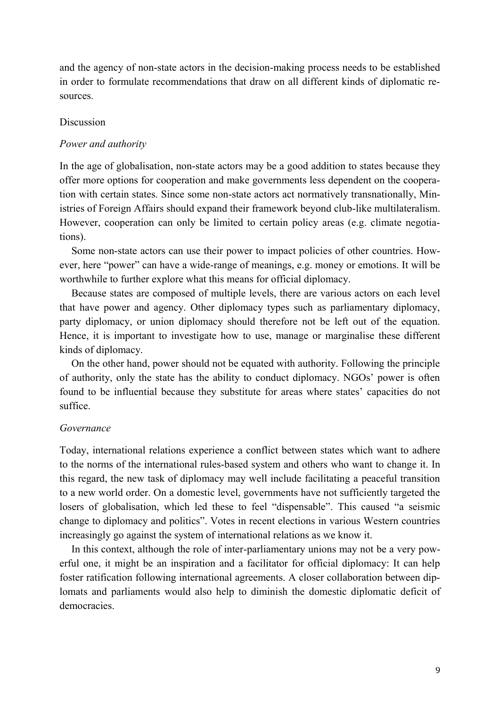and the agency of non-state actors in the decision-making process needs to be established in order to formulate recommendations that draw on all different kinds of diplomatic resources.

#### Discussion

#### *Power and authority*

In the age of globalisation, non-state actors may be a good addition to states because they offer more options for cooperation and make governments less dependent on the cooperation with certain states. Since some non-state actors act normatively transnationally, Ministries of Foreign Affairs should expand their framework beyond club-like multilateralism. However, cooperation can only be limited to certain policy areas (e.g. climate negotiations).

Some non-state actors can use their power to impact policies of other countries. However, here "power" can have a wide-range of meanings, e.g. money or emotions. It will be worthwhile to further explore what this means for official diplomacy.

Because states are composed of multiple levels, there are various actors on each level that have power and agency. Other diplomacy types such as parliamentary diplomacy, party diplomacy, or union diplomacy should therefore not be left out of the equation. Hence, it is important to investigate how to use, manage or marginalise these different kinds of diplomacy.

On the other hand, power should not be equated with authority. Following the principle of authority, only the state has the ability to conduct diplomacy. NGOs' power is often found to be influential because they substitute for areas where states' capacities do not suffice.

#### *Governance*

Today, international relations experience a conflict between states which want to adhere to the norms of the international rules-based system and others who want to change it. In this regard, the new task of diplomacy may well include facilitating a peaceful transition to a new world order. On a domestic level, governments have not sufficiently targeted the losers of globalisation, which led these to feel "dispensable". This caused "a seismic change to diplomacy and politics". Votes in recent elections in various Western countries increasingly go against the system of international relations as we know it.

In this context, although the role of inter-parliamentary unions may not be a very powerful one, it might be an inspiration and a facilitator for official diplomacy: It can help foster ratification following international agreements. A closer collaboration between diplomats and parliaments would also help to diminish the domestic diplomatic deficit of democracies.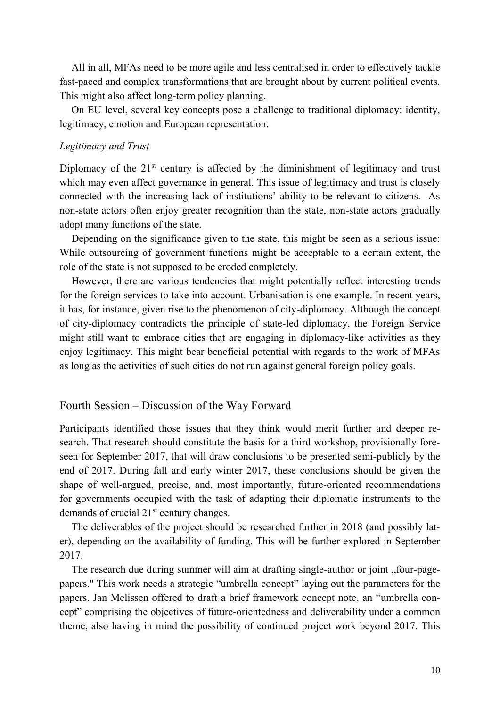All in all, MFAs need to be more agile and less centralised in order to effectively tackle fast-paced and complex transformations that are brought about by current political events. This might also affect long-term policy planning.

On EU level, several key concepts pose a challenge to traditional diplomacy: identity, legitimacy, emotion and European representation.

#### *Legitimacy and Trust*

Diplomacy of the  $21<sup>st</sup>$  century is affected by the diminishment of legitimacy and trust which may even affect governance in general. This issue of legitimacy and trust is closely connected with the increasing lack of institutions' ability to be relevant to citizens. As non-state actors often enjoy greater recognition than the state, non-state actors gradually adopt many functions of the state.

Depending on the significance given to the state, this might be seen as a serious issue: While outsourcing of government functions might be acceptable to a certain extent, the role of the state is not supposed to be eroded completely.

However, there are various tendencies that might potentially reflect interesting trends for the foreign services to take into account. Urbanisation is one example. In recent years, it has, for instance, given rise to the phenomenon of city-diplomacy. Although the concept of city-diplomacy contradicts the principle of state-led diplomacy, the Foreign Service might still want to embrace cities that are engaging in diplomacy-like activities as they enjoy legitimacy. This might bear beneficial potential with regards to the work of MFAs as long as the activities of such cities do not run against general foreign policy goals.

#### Fourth Session – Discussion of the Way Forward

Participants identified those issues that they think would merit further and deeper research. That research should constitute the basis for a third workshop, provisionally foreseen for September 2017, that will draw conclusions to be presented semi-publicly by the end of 2017. During fall and early winter 2017, these conclusions should be given the shape of well-argued, precise, and, most importantly, future-oriented recommendations for governments occupied with the task of adapting their diplomatic instruments to the demands of crucial  $21<sup>st</sup>$  century changes.

The deliverables of the project should be researched further in 2018 (and possibly later), depending on the availability of funding. This will be further explored in September 2017.

The research due during summer will aim at drafting single-author or joint "four-pagepapers." This work needs a strategic "umbrella concept" laying out the parameters for the papers. Jan Melissen offered to draft a brief framework concept note, an "umbrella concept" comprising the objectives of future-orientedness and deliverability under a common theme, also having in mind the possibility of continued project work beyond 2017. This